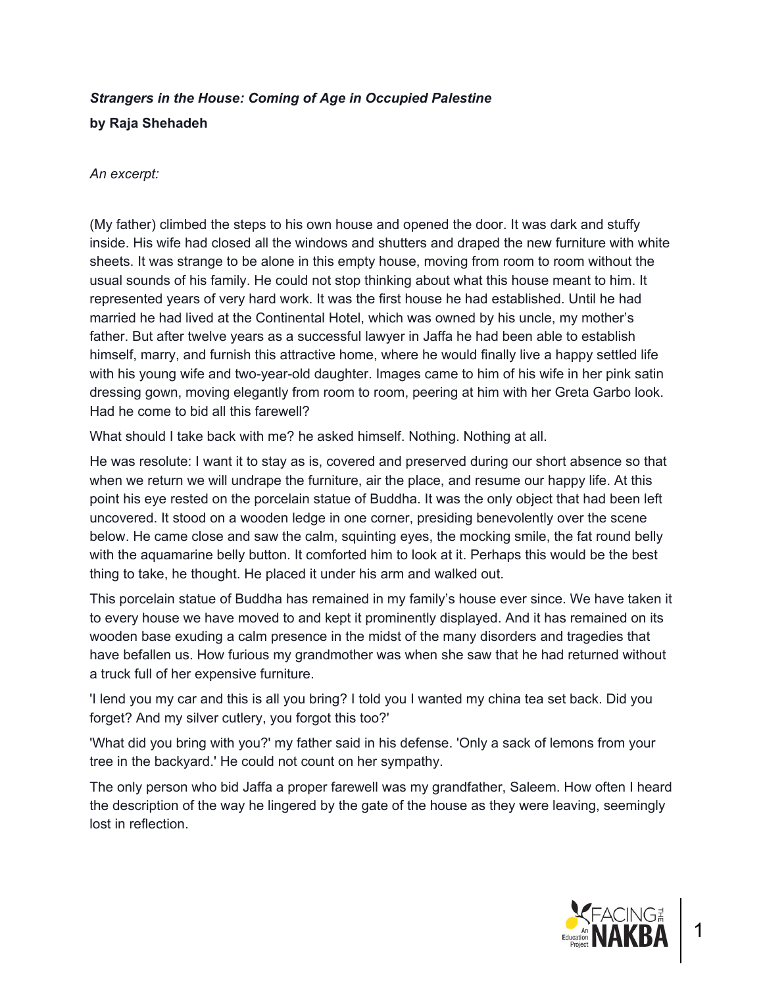## *Strangers in the House: Coming of Age in Occupied Palestine* **by Raja Shehadeh**

## *An excerpt:*

(My father) climbed the steps to his own house and opened the door. It was dark and stuffy inside. His wife had closed all the windows and shutters and draped the new furniture with white sheets. It was strange to be alone in this empty house, moving from room to room without the usual sounds of his family. He could not stop thinking about what this house meant to him. It represented years of very hard work. It was the first house he had established. Until he had married he had lived at the Continental Hotel, which was owned by his uncle, my mother's father. But after twelve years as a successful lawyer in Jaffa he had been able to establish himself, marry, and furnish this attractive home, where he would finally live a happy settled life with his young wife and two-year-old daughter. Images came to him of his wife in her pink satin dressing gown, moving elegantly from room to room, peering at him with her Greta Garbo look. Had he come to bid all this farewell?

What should I take back with me? he asked himself. Nothing. Nothing at all.

He was resolute: I want it to stay as is, covered and preserved during our short absence so that when we return we will undrape the furniture, air the place, and resume our happy life. At this point his eye rested on the porcelain statue of Buddha. It was the only object that had been left uncovered. It stood on a wooden ledge in one corner, presiding benevolently over the scene below. He came close and saw the calm, squinting eyes, the mocking smile, the fat round belly with the aquamarine belly button. It comforted him to look at it. Perhaps this would be the best thing to take, he thought. He placed it under his arm and walked out.

This porcelain statue of Buddha has remained in my family's house ever since. We have taken it to every house we have moved to and kept it prominently displayed. And it has remained on its wooden base exuding a calm presence in the midst of the many disorders and tragedies that have befallen us. How furious my grandmother was when she saw that he had returned without a truck full of her expensive furniture.

'I lend you my car and this is all you bring? I told you I wanted my china tea set back. Did you forget? And my silver cutlery, you forgot this too?'

'What did you bring with you?' my father said in his defense. 'Only a sack of lemons from your tree in the backyard.' He could not count on her sympathy.

The only person who bid Jaffa a proper farewell was my grandfather, Saleem. How often I heard the description of the way he lingered by the gate of the house as they were leaving, seemingly lost in reflection.